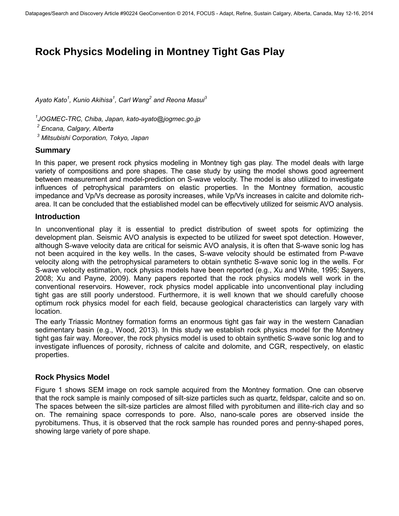# **Rock Physics Modeling in Montney Tight Gas Play**

*Ayato Kato<sup>1</sup> , Kunio Akihisa<sup>1</sup> , Carl Wang<sup>2</sup> and Reona Masui<sup>3</sup>*

*1 JOGMEC-TRC, Chiba, Japan, kato-ayato@jogmec.go.jp* 

*2 Encana, Calgary, Alberta* 

*3 Mitsubishi Corporation, Tokyo, Japan* 

#### **Summary**

In this paper, we present rock physics modeling in Montney tigh gas play. The model deals with large variety of compositions and pore shapes. The case study by using the model shows good agreement between measurement and model-prediction on S-wave velocity. The model is also utilized to investigate influences of petrophysical paramters on elastic properties. In the Montney formation, acoustic impedance and Vp/Vs decrease as porosity increases, while Vp/Vs increases in calcite and dolomite richarea. It can be concluded that the estiablished model can be effecvtively utilized for seismic AVO analysis.

#### **Introduction**

In unconventional play it is essential to predict distribution of sweet spots for optimizing the development plan. Seismic AVO analysis is expected to be utilized for sweet spot detection. However, although S-wave velocity data are critical for seismic AVO analysis, it is often that S-wave sonic log has not been acquired in the key wells. In the cases, S-wave velocity should be estimated from P-wave velocity along with the petrophysical parameters to obtain synthetic S-wave sonic log in the wells. For S-wave velocity estimation, rock physics models have been reported (e.g., Xu and White, 1995; Sayers, 2008; Xu and Payne, 2009). Many papers reported that the rock physics models well work in the conventional reservoirs. However, rock physics model applicable into unconventional play including tight gas are still poorly understood. Furthermore, it is well known that we should carefully choose optimum rock physics model for each field, because geological characteristics can largely vary with location.

The early Triassic Montney formation forms an enormous tight gas fair way in the western Canadian sedimentary basin (e.g., Wood, 2013). In this study we establish rock physics model for the Montney tight gas fair way. Moreover, the rock physics model is used to obtain synthetic S-wave sonic log and to investigate influences of porosity, richness of calcite and dolomite, and CGR, respectively, on elastic properties.

# **Rock Physics Model**

Figure 1 shows SEM image on rock sample acquired from the Montney formation. One can observe that the rock sample is mainly composed of silt-size particles such as quartz, feldspar, calcite and so on. The spaces between the silt-size particles are almost filled with pyrobitumen and illite-rich clay and so on. The remaining space corresponds to pore. Also, nano-scale pores are observed inside the pyrobitumens. Thus, it is observed that the rock sample has rounded pores and penny-shaped pores, showing large variety of pore shape.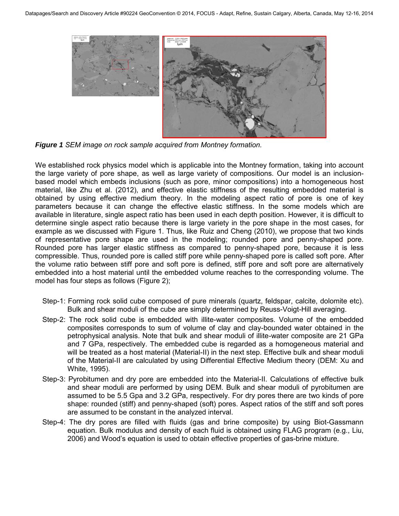

*Figure 1 SEM image on rock sample acquired from Montney formation.*

We established rock physics model which is applicable into the Montney formation, taking into account the large variety of pore shape, as well as large variety of compositions. Our model is an inclusionbased model which embeds inclusions (such as pore, minor compositions) into a homogeneous host material, like Zhu et al. (2012), and effective elastic stiffness of the resulting embedded material is obtained by using effective medium theory. In the modeling aspect ratio of pore is one of key parameters because it can change the effective elastic stiffness. In the some models which are available in literature, single aspect ratio has been used in each depth position. However, it is difficult to determine single aspect ratio because there is large variety in the pore shape in the most cases, for example as we discussed with Figure 1. Thus, like Ruiz and Cheng (2010), we propose that two kinds of representative pore shape are used in the modeling; rounded pore and penny-shaped pore. Rounded pore has larger elastic stiffness as compared to penny-shaped pore, because it is less compressible. Thus, rounded pore is called stiff pore while penny-shaped pore is called soft pore. After the volume ratio between stiff pore and soft pore is defined, stiff pore and soft pore are alternatively embedded into a host material until the embedded volume reaches to the corresponding volume. The model has four steps as follows (Figure 2);

- Step-1: Forming rock solid cube composed of pure minerals (quartz, feldspar, calcite, dolomite etc). Bulk and shear moduli of the cube are simply determined by Reuss-Voigt-Hill averaging.
- Step-2: The rock solid cube is embedded with illite-water composites. Volume of the embedded composites corresponds to sum of volume of clay and clay-bounded water obtained in the petrophysical analysis. Note that bulk and shear moduli of illite-water composite are 21 GPa and 7 GPa, respectively. The embedded cube is regarded as a homogeneous material and will be treated as a host material (Material-II) in the next step. Effective bulk and shear moduli of the Material-II are calculated by using Differential Effective Medium theory (DEM: Xu and White, 1995).
- Step-3: Pyrobitumen and dry pore are embedded into the Material-II. Calculations of effective bulk and shear moduli are performed by using DEM. Bulk and shear moduli of pyrobitumen are assumed to be 5.5 Gpa and 3.2 GPa, respectively. For dry pores there are two kinds of pore shape: rounded (stiff) and penny-shaped (soft) pores. Aspect ratios of the stiff and soft pores are assumed to be constant in the analyzed interval.
- Step-4: The dry pores are filled with fluids (gas and brine composite) by using Biot-Gassmann equation. Bulk modulus and density of each fluid is obtained using FLAG program (e.g., Liu, 2006) and Wood's equation is used to obtain effective properties of gas-brine mixture.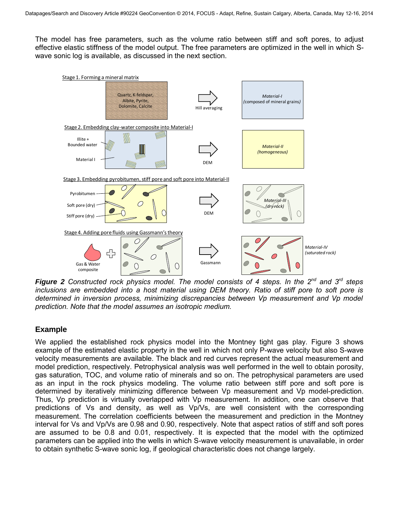The model has free parameters, such as the volume ratio between stiff and soft pores, to adjust effective elastic stiffness of the model output. The free parameters are optimized in the well in which Swave sonic log is available, as discussed in the next section.



*Figure 2 Constructed rock physics model. The model consists of 4 steps. In the 2nd and 3rd steps inclusions are embedded into a host material using DEM theory. Ratio of stiff pore to soft pore is determined in inversion process, minimizing discrepancies between Vp measurement and Vp model prediction. Note that the model assumes an isotropic medium.*

# **Example**

We applied the established rock physics model into the Montney tight gas play. Figure 3 shows example of the estimated elastic property in the well in which not only P-wave velocity but also S-wave velocity measurements are available. The black and red curves represent the actual measurement and model prediction, respectively. Petrophysical analysis was well performed in the well to obtain porosity, gas saturation, TOC, and volume ratio of minerals and so on. The petrophysical parameters are used as an input in the rock physics modeling. The volume ratio between stiff pore and soft pore is determined by iteratively minimizing difference between Vp measurement and Vp model-prediction. Thus, Vp prediction is virtually overlapped with Vp measurement. In addition, one can observe that predictions of Vs and density, as well as Vp/Vs, are well consistent with the corresponding measurement. The correlation coefficients between the measurement and prediction in the Montney interval for Vs and Vp/Vs are 0.98 and 0.90, respectively. Note that aspect ratios of stiff and soft pores are assumed to be 0.8 and 0.01, respectively. It is expected that the model with the optimized parameters can be applied into the wells in which S-wave velocity measurement is unavailable, in order to obtain synthetic S-wave sonic log, if geological characteristic does not change largely.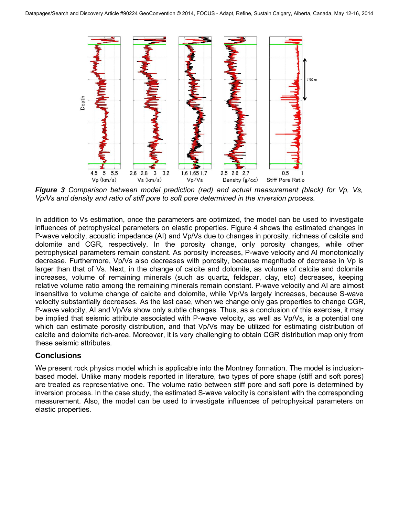

*Figure 3 Comparison between model prediction (red) and actual measurement (black) for Vp, Vs, Vp/Vs and density and ratio of stiff pore to soft pore determined in the inversion process.*

In addition to Vs estimation, once the parameters are optimized, the model can be used to investigate influences of petrophysical parameters on elastic properties. Figure 4 shows the estimated changes in P-wave velocity, acoustic impedance (AI) and Vp/Vs due to changes in porosity, richness of calcite and dolomite and CGR, respectively. In the porosity change, only porosity changes, while other petrophysical parameters remain constant. As porosity increases, P-wave velocity and AI monotonically decrease. Furthermore, Vp/Vs also decreases with porosity, because magnitude of decrease in Vp is larger than that of Vs. Next, in the change of calcite and dolomite, as volume of calcite and dolomite increases, volume of remaining minerals (such as quartz, feldspar, clay, etc) decreases, keeping relative volume ratio among the remaining minerals remain constant. P-wave velocity and AI are almost insensitive to volume change of calcite and dolomite, while Vp/Vs largely increases, because S-wave velocity substantially decreases. As the last case, when we change only gas properties to change CGR, P-wave velocity, AI and Vp/Vs show only subtle changes. Thus, as a conclusion of this exercise, it may be implied that seismic attribute associated with P-wave velocity, as well as Vp/Vs, is a potential one which can estimate porosity distribution, and that Vp/Vs may be utilized for estimating distribution of calcite and dolomite rich-area. Moreover, it is very challenging to obtain CGR distribution map only from these seismic attributes.

# **Conclusions**

We present rock physics model which is applicable into the Montney formation. The model is inclusionbased model. Unlike many models reported in literature, two types of pore shape (stiff and soft pores) are treated as representative one. The volume ratio between stiff pore and soft pore is determined by inversion process. In the case study, the estimated S-wave velocity is consistent with the corresponding measurement. Also, the model can be used to investigate influences of petrophysical parameters on elastic properties.